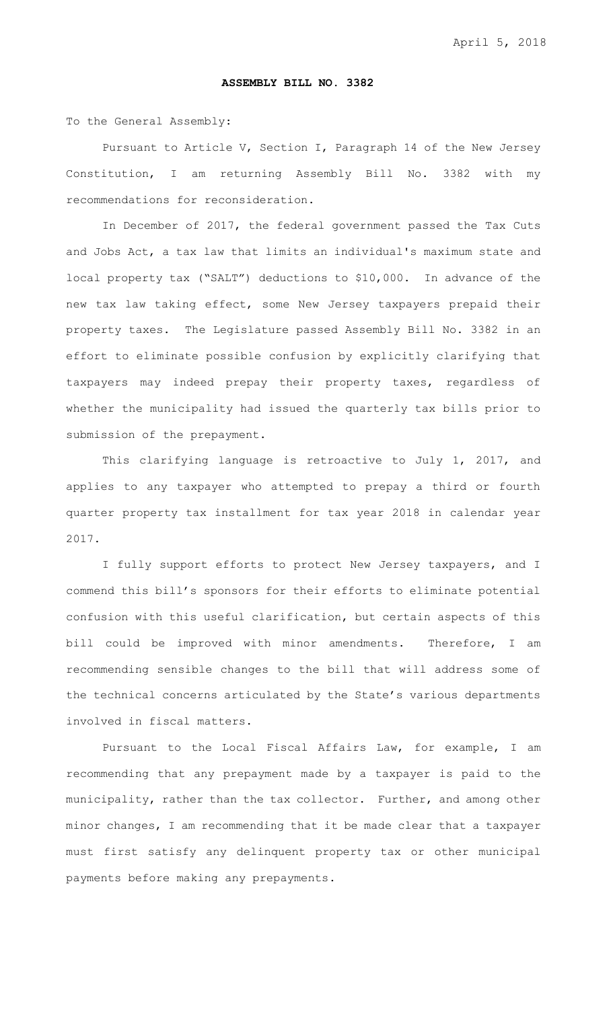## **ASSEMBLY BILL NO. 3382**

To the General Assembly:

Pursuant to Article V, Section I, Paragraph 14 of the New Jersey Constitution, I am returning Assembly Bill No. 3382 with my recommendations for reconsideration.

In December of 2017, the federal government passed the Tax Cuts and Jobs Act, a tax law that limits an individual's maximum state and local property tax ("SALT") deductions to \$10,000. In advance of the new tax law taking effect, some New Jersey taxpayers prepaid their property taxes. The Legislature passed Assembly Bill No. 3382 in an effort to eliminate possible confusion by explicitly clarifying that taxpayers may indeed prepay their property taxes, regardless of whether the municipality had issued the quarterly tax bills prior to submission of the prepayment.

This clarifying language is retroactive to July 1, 2017, and applies to any taxpayer who attempted to prepay a third or fourth quarter property tax installment for tax year 2018 in calendar year 2017.

I fully support efforts to protect New Jersey taxpayers, and I commend this bill's sponsors for their efforts to eliminate potential confusion with this useful clarification, but certain aspects of this bill could be improved with minor amendments. Therefore, I am recommending sensible changes to the bill that will address some of the technical concerns articulated by the State's various departments involved in fiscal matters.

Pursuant to the Local Fiscal Affairs Law, for example, I am recommending that any prepayment made by a taxpayer is paid to the municipality, rather than the tax collector. Further, and among other minor changes, I am recommending that it be made clear that a taxpayer must first satisfy any delinquent property tax or other municipal payments before making any prepayments.